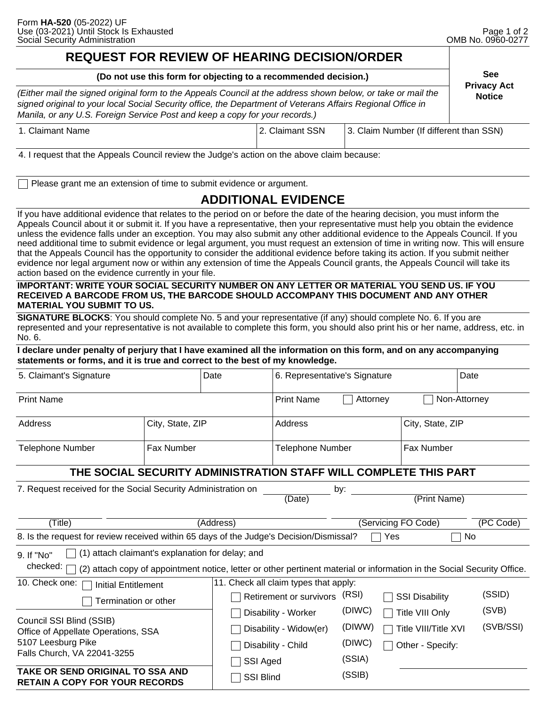**Privacy Act** 

### **REQUEST FOR REVIEW OF HEARING DECISION/ORDER**

| (Do not use this form for objecting to a recommended decision.) | <b>See</b> |
|-----------------------------------------------------------------|------------|
|-----------------------------------------------------------------|------------|

**Notice** *(Either mail the signed original form to the Appeals Council at the address shown below, or take or mail the signed original to your local Social Security office, the Department of Veterans Affairs Regional Office in Manila, or any U.S. Foreign Service Post and keep a copy for your records.)*

| 1. Claimant Name | 2. Claimant SSN | 3. Claim Number (If different than SSN) |
|------------------|-----------------|-----------------------------------------|
|                  |                 |                                         |

4. I request that the Appeals Council review the Judge's action on the above claim because:

Please grant me an extension of time to submit evidence or argument.

## **ADDITIONAL EVIDENCE**

If you have additional evidence that relates to the period on or before the date of the hearing decision, you must inform the Appeals Council about it or submit it. If you have a representative, then your representative must help you obtain the evidence unless the evidence falls under an exception. You may also submit any other additional evidence to the Appeals Council. If you need additional time to submit evidence or legal argument, you must request an extension of time in writing now. This will ensure that the Appeals Council has the opportunity to consider the additional evidence before taking its action. If you submit neither evidence nor legal argument now or within any extension of time the Appeals Council grants, the Appeals Council will take its action based on the evidence currently in your file.

#### **IMPORTANT: WRITE YOUR SOCIAL SECURITY NUMBER ON ANY LETTER OR MATERIAL YOU SEND US. IF YOU RECEIVED A BARCODE FROM US, THE BARCODE SHOULD ACCOMPANY THIS DOCUMENT AND ANY OTHER MATERIAL YOU SUBMIT TO US.**

**SIGNATURE BLOCKS**: You should complete No. 5 and your representative (if any) should complete No. 6. If you are represented and your representative is not available to complete this form, you should also print his or her name, address, etc. in No. 6.

**I declare under penalty of perjury that I have examined all the information on this form, and on any accompanying statements or forms, and it is true and correct to the best of my knowledge.** 

| 5. Claimant's Signature                                                                                                                                                                               |                   | Date             | 6. Representative's Signature    |          |                       | Date             |  |  |
|-------------------------------------------------------------------------------------------------------------------------------------------------------------------------------------------------------|-------------------|------------------|----------------------------------|----------|-----------------------|------------------|--|--|
| <b>Print Name</b>                                                                                                                                                                                     |                   |                  | <b>Print Name</b>                | Attorney |                       | Non-Attorney     |  |  |
| Address                                                                                                                                                                                               | City, State, ZIP  |                  | <b>Address</b>                   |          |                       | City, State, ZIP |  |  |
| <b>Telephone Number</b>                                                                                                                                                                               | <b>Fax Number</b> |                  | <b>Telephone Number</b>          |          | <b>Fax Number</b>     |                  |  |  |
| THE SOCIAL SECURITY ADMINISTRATION STAFF WILL COMPLETE THIS PART                                                                                                                                      |                   |                  |                                  |          |                       |                  |  |  |
| 7. Request received for the Social Security Administration on<br>by:<br>(Print Name)<br>(Date)                                                                                                        |                   |                  |                                  |          |                       |                  |  |  |
| (Title)                                                                                                                                                                                               |                   | (Address)        | (Servicing FO Code)<br>(PC Code) |          |                       |                  |  |  |
| 8. Is the request for review received within 65 days of the Judge's Decision/Dismissal?<br>Yes<br>No                                                                                                  |                   |                  |                                  |          |                       |                  |  |  |
| (1) attach claimant's explanation for delay; and<br>9. If "No"<br>checked:<br>(2) attach copy of appointment notice, letter or other pertinent material or information in the Social Security Office. |                   |                  |                                  |          |                       |                  |  |  |
| 10. Check one:<br>11. Check all claim types that apply:<br><b>Initial Entitlement</b>                                                                                                                 |                   |                  |                                  |          |                       |                  |  |  |
| Termination or other                                                                                                                                                                                  |                   |                  | Retirement or survivors          | (RSI)    | <b>SSI Disability</b> | (SSID)           |  |  |
| Council SSI Blind (SSIB)<br>Office of Appellate Operations, SSA<br>5107 Leesburg Pike                                                                                                                 |                   |                  | Disability - Worker              | (DIWC)   | Title VIII Only       | (SVB)            |  |  |
|                                                                                                                                                                                                       |                   |                  | Disability - Widow(er)           | (DIWW)   | Title VIII/Title XVI  | (SVB/SSI)        |  |  |
|                                                                                                                                                                                                       |                   |                  | Disability - Child               | (DIWC)   | Other - Specify:      |                  |  |  |
| Falls Church, VA 22041-3255                                                                                                                                                                           |                   | SSI Aged         |                                  | (SSIA)   |                       |                  |  |  |
| TAKE OR SEND ORIGINAL TO SSA AND<br><b>RETAIN A COPY FOR YOUR RECORDS</b>                                                                                                                             |                   | <b>SSI Blind</b> |                                  | (SSIB)   |                       |                  |  |  |